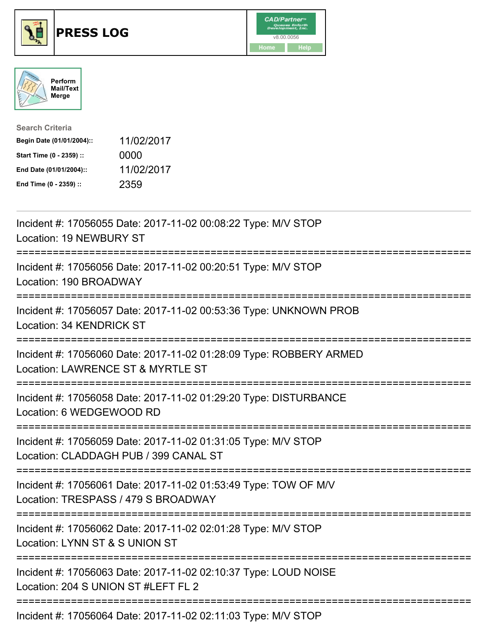





| <b>Search Criteria</b>    |            |
|---------------------------|------------|
| Begin Date (01/01/2004):: | 11/02/2017 |
| Start Time (0 - 2359) ::  | 0000       |
| End Date (01/01/2004)::   | 11/02/2017 |
| End Time (0 - 2359) ::    | 2359       |

| Incident #: 17056055 Date: 2017-11-02 00:08:22 Type: M/V STOP<br>Location: 19 NEWBURY ST                                                 |
|------------------------------------------------------------------------------------------------------------------------------------------|
| Incident #: 17056056 Date: 2017-11-02 00:20:51 Type: M/V STOP<br>Location: 190 BROADWAY                                                  |
| Incident #: 17056057 Date: 2017-11-02 00:53:36 Type: UNKNOWN PROB<br>Location: 34 KENDRICK ST                                            |
| Incident #: 17056060 Date: 2017-11-02 01:28:09 Type: ROBBERY ARMED<br>Location: LAWRENCE ST & MYRTLE ST                                  |
| Incident #: 17056058 Date: 2017-11-02 01:29:20 Type: DISTURBANCE<br>Location: 6 WEDGEWOOD RD                                             |
| Incident #: 17056059 Date: 2017-11-02 01:31:05 Type: M/V STOP<br>Location: CLADDAGH PUB / 399 CANAL ST<br>============================== |
| Incident #: 17056061 Date: 2017-11-02 01:53:49 Type: TOW OF M/V<br>Location: TRESPASS / 479 S BROADWAY                                   |
| Incident #: 17056062 Date: 2017-11-02 02:01:28 Type: M/V STOP<br>Location: LYNN ST & S UNION ST<br>=========================             |
| Incident #: 17056063 Date: 2017-11-02 02:10:37 Type: LOUD NOISE<br>Location: 204 S UNION ST #LEFT FL 2                                   |
| Incident #: 17056064 Date: 2017-11-02 02:11:03 Type: M/V STOP                                                                            |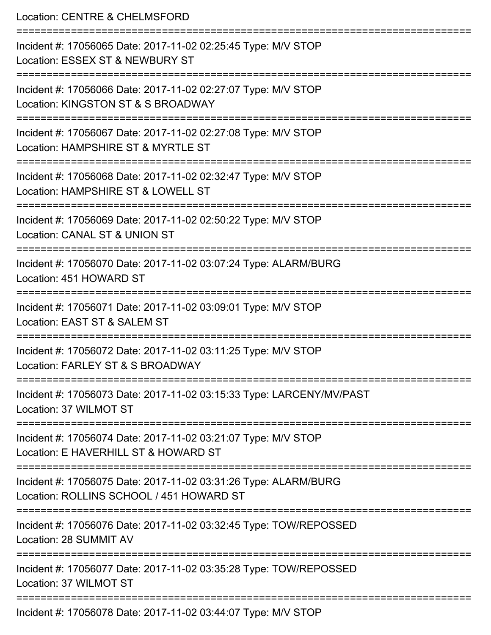Location: CENTRE & CHELMSFORD =========================================================================== Incident #: 17056065 Date: 2017-11-02 02:25:45 Type: M/V STOP Location: ESSEX ST & NEWBURY ST =========================================================================== Incident #: 17056066 Date: 2017-11-02 02:27:07 Type: M/V STOP Location: KINGSTON ST & S BROADWAY =========================================================================== Incident #: 17056067 Date: 2017-11-02 02:27:08 Type: M/V STOP Location: HAMPSHIRE ST & MYRTLE ST =========================================================================== Incident #: 17056068 Date: 2017-11-02 02:32:47 Type: M/V STOP Location: HAMPSHIRE ST & LOWELL ST =========================================================================== Incident #: 17056069 Date: 2017-11-02 02:50:22 Type: M/V STOP Location: CANAL ST & UNION ST =========================================================================== Incident #: 17056070 Date: 2017-11-02 03:07:24 Type: ALARM/BURG Location: 451 HOWARD ST =========================================================================== Incident #: 17056071 Date: 2017-11-02 03:09:01 Type: M/V STOP Location: FAST ST & SALEM ST =========================================================================== Incident #: 17056072 Date: 2017-11-02 03:11:25 Type: M/V STOP Location: FARLEY ST & S BROADWAY =========================================================================== Incident #: 17056073 Date: 2017-11-02 03:15:33 Type: LARCENY/MV/PAST Location: 37 WILMOT ST =========================================================================== Incident #: 17056074 Date: 2017-11-02 03:21:07 Type: M/V STOP Location: E HAVERHILL ST & HOWARD ST =========================================================================== Incident #: 17056075 Date: 2017-11-02 03:31:26 Type: ALARM/BURG Location: ROLLINS SCHOOL / 451 HOWARD ST =========================================================================== Incident #: 17056076 Date: 2017-11-02 03:32:45 Type: TOW/REPOSSED Location: 28 SUMMIT AV =========================================================================== Incident #: 17056077 Date: 2017-11-02 03:35:28 Type: TOW/REPOSSED Location: 37 WILMOT ST =========================================================================== Incident #: 17056078 Date: 2017-11-02 03:44:07 Type: M/V STOP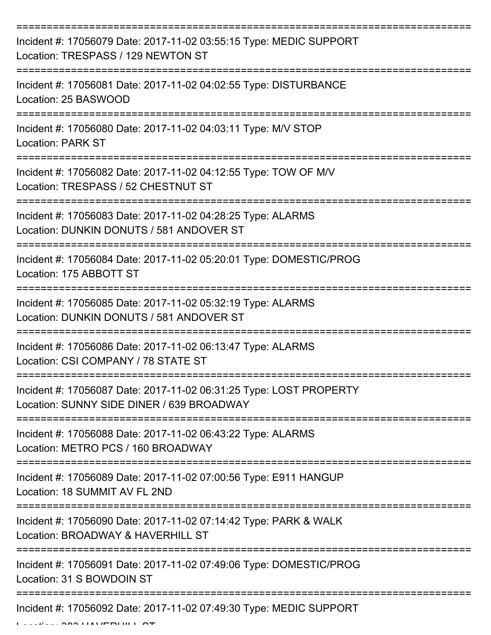| Incident #: 17056079 Date: 2017-11-02 03:55:15 Type: MEDIC SUPPORT<br>Location: TRESPASS / 129 NEWTON ST        |
|-----------------------------------------------------------------------------------------------------------------|
| Incident #: 17056081 Date: 2017-11-02 04:02:55 Type: DISTURBANCE<br>Location: 25 BASWOOD                        |
| Incident #: 17056080 Date: 2017-11-02 04:03:11 Type: M/V STOP<br><b>Location: PARK ST</b>                       |
| Incident #: 17056082 Date: 2017-11-02 04:12:55 Type: TOW OF M/V<br>Location: TRESPASS / 52 CHESTNUT ST          |
| Incident #: 17056083 Date: 2017-11-02 04:28:25 Type: ALARMS<br>Location: DUNKIN DONUTS / 581 ANDOVER ST         |
| Incident #: 17056084 Date: 2017-11-02 05:20:01 Type: DOMESTIC/PROG<br>Location: 175 ABBOTT ST                   |
| Incident #: 17056085 Date: 2017-11-02 05:32:19 Type: ALARMS<br>Location: DUNKIN DONUTS / 581 ANDOVER ST         |
| Incident #: 17056086 Date: 2017-11-02 06:13:47 Type: ALARMS<br>Location: CSI COMPANY / 78 STATE ST              |
| Incident #: 17056087 Date: 2017-11-02 06:31:25 Type: LOST PROPERTY<br>Location: SUNNY SIDE DINER / 639 BROADWAY |
| Incident #: 17056088 Date: 2017-11-02 06:43:22 Type: ALARMS<br>Location: METRO PCS / 160 BROADWAY               |
| Incident #: 17056089 Date: 2017-11-02 07:00:56 Type: E911 HANGUP<br>Location: 18 SUMMIT AV FL 2ND               |
| Incident #: 17056090 Date: 2017-11-02 07:14:42 Type: PARK & WALK<br>Location: BROADWAY & HAVERHILL ST           |
| Incident #: 17056091 Date: 2017-11-02 07:49:06 Type: DOMESTIC/PROG<br>Location: 31 S BOWDOIN ST                 |
| Incident #: 17056092 Date: 2017-11-02 07:49:30 Type: MEDIC SUPPORT                                              |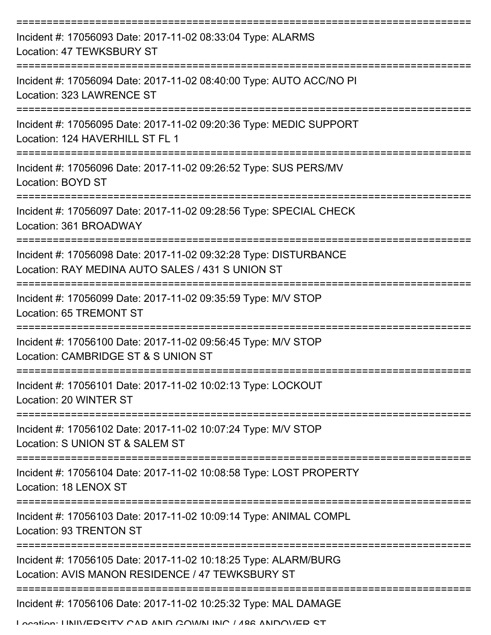| Incident #: 17056093 Date: 2017-11-02 08:33:04 Type: ALARMS<br>Location: 47 TEWKSBURY ST                                               |
|----------------------------------------------------------------------------------------------------------------------------------------|
| Incident #: 17056094 Date: 2017-11-02 08:40:00 Type: AUTO ACC/NO PI<br>Location: 323 LAWRENCE ST                                       |
| Incident #: 17056095 Date: 2017-11-02 09:20:36 Type: MEDIC SUPPORT<br>Location: 124 HAVERHILL ST FL 1                                  |
| Incident #: 17056096 Date: 2017-11-02 09:26:52 Type: SUS PERS/MV<br>Location: BOYD ST                                                  |
| Incident #: 17056097 Date: 2017-11-02 09:28:56 Type: SPECIAL CHECK<br>Location: 361 BROADWAY                                           |
| Incident #: 17056098 Date: 2017-11-02 09:32:28 Type: DISTURBANCE<br>Location: RAY MEDINA AUTO SALES / 431 S UNION ST                   |
| Incident #: 17056099 Date: 2017-11-02 09:35:59 Type: M/V STOP<br>Location: 65 TREMONT ST                                               |
| Incident #: 17056100 Date: 2017-11-02 09:56:45 Type: M/V STOP<br>Location: CAMBRIDGE ST & S UNION ST                                   |
| Incident #: 17056101 Date: 2017-11-02 10:02:13 Type: LOCKOUT<br>Location: 20 WINTER ST                                                 |
| Incident #: 17056102 Date: 2017-11-02 10:07:24 Type: M/V STOP<br>Location: S UNION ST & SALEM ST                                       |
| Incident #: 17056104 Date: 2017-11-02 10:08:58 Type: LOST PROPERTY<br>Location: 18 LENOX ST                                            |
| Incident #: 17056103 Date: 2017-11-02 10:09:14 Type: ANIMAL COMPL<br>Location: 93 TRENTON ST                                           |
| Incident #: 17056105 Date: 2017-11-02 10:18:25 Type: ALARM/BURG<br>Location: AVIS MANON RESIDENCE / 47 TEWKSBURY ST                    |
| Incident #: 17056106 Date: 2017-11-02 10:25:32 Type: MAL DAMAGE<br>I coation: I INII) / EDCITV CAD ANIN COMAIN INIC / ARR ANINO VED CT |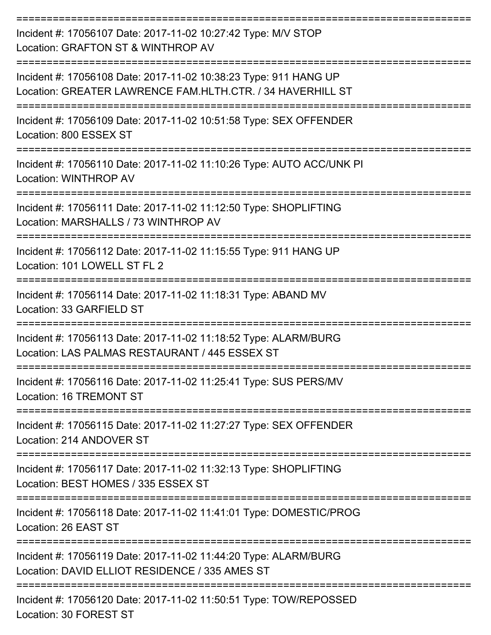| Incident #: 17056107 Date: 2017-11-02 10:27:42 Type: M/V STOP<br>Location: GRAFTON ST & WINTHROP AV                            |
|--------------------------------------------------------------------------------------------------------------------------------|
| Incident #: 17056108 Date: 2017-11-02 10:38:23 Type: 911 HANG UP<br>Location: GREATER LAWRENCE FAM.HLTH.CTR. / 34 HAVERHILL ST |
| Incident #: 17056109 Date: 2017-11-02 10:51:58 Type: SEX OFFENDER<br>Location: 800 ESSEX ST                                    |
| Incident #: 17056110 Date: 2017-11-02 11:10:26 Type: AUTO ACC/UNK PI<br>Location: WINTHROP AV                                  |
| Incident #: 17056111 Date: 2017-11-02 11:12:50 Type: SHOPLIFTING<br>Location: MARSHALLS / 73 WINTHROP AV<br>================== |
| Incident #: 17056112 Date: 2017-11-02 11:15:55 Type: 911 HANG UP<br>Location: 101 LOWELL ST FL 2                               |
| Incident #: 17056114 Date: 2017-11-02 11:18:31 Type: ABAND MV<br>Location: 33 GARFIELD ST                                      |
| Incident #: 17056113 Date: 2017-11-02 11:18:52 Type: ALARM/BURG<br>Location: LAS PALMAS RESTAURANT / 445 ESSEX ST              |
| Incident #: 17056116 Date: 2017-11-02 11:25:41 Type: SUS PERS/MV<br>Location: 16 TREMONT ST                                    |
| Incident #: 17056115 Date: 2017-11-02 11:27:27 Type: SEX OFFENDER<br>Location: 214 ANDOVER ST                                  |
| Incident #: 17056117 Date: 2017-11-02 11:32:13 Type: SHOPLIFTING<br>Location: BEST HOMES / 335 ESSEX ST                        |
| Incident #: 17056118 Date: 2017-11-02 11:41:01 Type: DOMESTIC/PROG<br>Location: 26 EAST ST                                     |
| Incident #: 17056119 Date: 2017-11-02 11:44:20 Type: ALARM/BURG<br>Location: DAVID ELLIOT RESIDENCE / 335 AMES ST              |
| Incident #: 17056120 Date: 2017-11-02 11:50:51 Type: TOW/REPOSSED<br>Location: 30 FOREST ST                                    |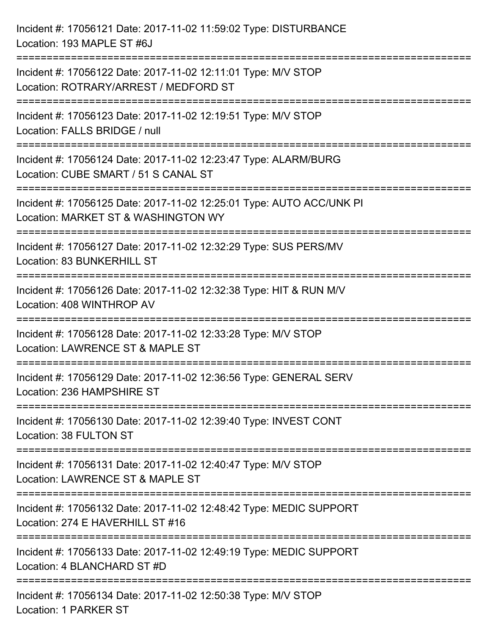| Incident #: 17056121 Date: 2017-11-02 11:59:02 Type: DISTURBANCE<br>Location: 193 MAPLE ST #6J                                                |
|-----------------------------------------------------------------------------------------------------------------------------------------------|
| :==================================<br>Incident #: 17056122 Date: 2017-11-02 12:11:01 Type: M/V STOP<br>Location: ROTRARY/ARREST / MEDFORD ST |
| Incident #: 17056123 Date: 2017-11-02 12:19:51 Type: M/V STOP<br>Location: FALLS BRIDGE / null<br>=================================           |
| Incident #: 17056124 Date: 2017-11-02 12:23:47 Type: ALARM/BURG<br>Location: CUBE SMART / 51 S CANAL ST<br>:=============================     |
| Incident #: 17056125 Date: 2017-11-02 12:25:01 Type: AUTO ACC/UNK PI<br>Location: MARKET ST & WASHINGTON WY<br>:==================            |
| Incident #: 17056127 Date: 2017-11-02 12:32:29 Type: SUS PERS/MV<br>Location: 83 BUNKERHILL ST                                                |
| Incident #: 17056126 Date: 2017-11-02 12:32:38 Type: HIT & RUN M/V<br>Location: 408 WINTHROP AV                                               |
| Incident #: 17056128 Date: 2017-11-02 12:33:28 Type: M/V STOP<br>Location: LAWRENCE ST & MAPLE ST                                             |
| Incident #: 17056129 Date: 2017-11-02 12:36:56 Type: GENERAL SERV<br>Location: 236 HAMPSHIRE ST                                               |
| Incident #: 17056130 Date: 2017-11-02 12:39:40 Type: INVEST CONT<br>Location: 38 FULTON ST                                                    |
| Incident #: 17056131 Date: 2017-11-02 12:40:47 Type: M/V STOP<br>Location: LAWRENCE ST & MAPLE ST                                             |
| Incident #: 17056132 Date: 2017-11-02 12:48:42 Type: MEDIC SUPPORT<br>Location: 274 E HAVERHILL ST #16                                        |
| Incident #: 17056133 Date: 2017-11-02 12:49:19 Type: MEDIC SUPPORT<br>Location: 4 BLANCHARD ST #D                                             |
| Incident #: 17056134 Date: 2017-11-02 12:50:38 Type: M/V STOP<br>Location: 1 PARKER ST                                                        |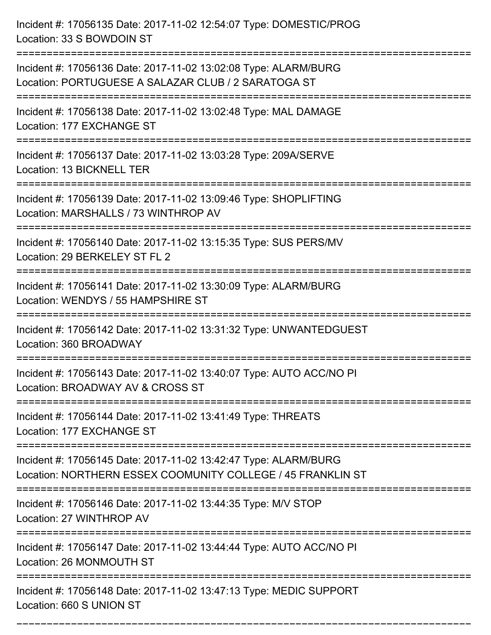Incident #: 17056135 Date: 2017-11-02 12:54:07 Type: DOMESTIC/PROG Location: 33 S BOWDOIN ST =========================================================================== Incident #: 17056136 Date: 2017-11-02 13:02:08 Type: ALARM/BURG Location: PORTUGUESE A SALAZAR CLUB / 2 SARATOGA ST =========================================================================== Incident #: 17056138 Date: 2017-11-02 13:02:48 Type: MAL DAMAGE Location: 177 EXCHANGE ST =========================================================================== Incident #: 17056137 Date: 2017-11-02 13:03:28 Type: 209A/SERVE Location: 13 BICKNELL TER =========================================================================== Incident #: 17056139 Date: 2017-11-02 13:09:46 Type: SHOPLIFTING Location: MARSHALLS / 73 WINTHROP AV =========================================================================== Incident #: 17056140 Date: 2017-11-02 13:15:35 Type: SUS PERS/MV Location: 29 BERKELEY ST FL 2 =========================================================================== Incident #: 17056141 Date: 2017-11-02 13:30:09 Type: ALARM/BURG Location: WENDYS / 55 HAMPSHIRE ST =========================================================================== Incident #: 17056142 Date: 2017-11-02 13:31:32 Type: UNWANTEDGUEST Location: 360 BROADWAY =========================================================================== Incident #: 17056143 Date: 2017-11-02 13:40:07 Type: AUTO ACC/NO PI Location: BROADWAY AV & CROSS ST =========================================================================== Incident #: 17056144 Date: 2017-11-02 13:41:49 Type: THREATS Location: 177 EXCHANGE ST =========================================================================== Incident #: 17056145 Date: 2017-11-02 13:42:47 Type: ALARM/BURG Location: NORTHERN ESSEX COOMUNITY COLLEGE / 45 FRANKLIN ST =========================================================================== Incident #: 17056146 Date: 2017-11-02 13:44:35 Type: M/V STOP Location: 27 WINTHROP AV =========================================================================== Incident #: 17056147 Date: 2017-11-02 13:44:44 Type: AUTO ACC/NO PI Location: 26 MONMOUTH ST =========================================================================== Incident #: 17056148 Date: 2017-11-02 13:47:13 Type: MEDIC SUPPORT Location: 660 S UNION ST

===========================================================================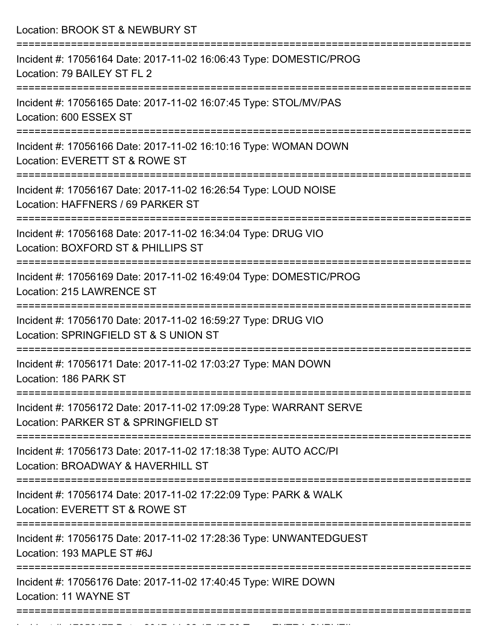| Location: BROOK ST & NEWBURY ST                                                                                                |
|--------------------------------------------------------------------------------------------------------------------------------|
| Incident #: 17056164 Date: 2017-11-02 16:06:43 Type: DOMESTIC/PROG<br>Location: 79 BAILEY ST FL 2                              |
| Incident #: 17056165 Date: 2017-11-02 16:07:45 Type: STOL/MV/PAS<br>Location: 600 ESSEX ST                                     |
| Incident #: 17056166 Date: 2017-11-02 16:10:16 Type: WOMAN DOWN<br>Location: EVERETT ST & ROWE ST<br>------------------------- |
| Incident #: 17056167 Date: 2017-11-02 16:26:54 Type: LOUD NOISE<br>Location: HAFFNERS / 69 PARKER ST                           |
| Incident #: 17056168 Date: 2017-11-02 16:34:04 Type: DRUG VIO<br>Location: BOXFORD ST & PHILLIPS ST                            |
| Incident #: 17056169 Date: 2017-11-02 16:49:04 Type: DOMESTIC/PROG<br>Location: 215 LAWRENCE ST                                |
| Incident #: 17056170 Date: 2017-11-02 16:59:27 Type: DRUG VIO<br>Location: SPRINGFIELD ST & S UNION ST                         |
| Incident #: 17056171 Date: 2017-11-02 17:03:27 Type: MAN DOWN<br>Location: 186 PARK ST                                         |
| Incident #: 17056172 Date: 2017-11-02 17:09:28 Type: WARRANT SERVE<br>Location: PARKER ST & SPRINGFIELD ST                     |
| Incident #: 17056173 Date: 2017-11-02 17:18:38 Type: AUTO ACC/PI<br>Location: BROADWAY & HAVERHILL ST                          |
| Incident #: 17056174 Date: 2017-11-02 17:22:09 Type: PARK & WALK<br>Location: EVERETT ST & ROWE ST                             |
| Incident #: 17056175 Date: 2017-11-02 17:28:36 Type: UNWANTEDGUEST<br>Location: 193 MAPLE ST #6J                               |
| Incident #: 17056176 Date: 2017-11-02 17:40:45 Type: WIRE DOWN<br>Location: 11 WAYNE ST                                        |
|                                                                                                                                |

Incident #: 17056177 Date: 2017 11 02 17:47:53 Type: EXTRA SURVEIL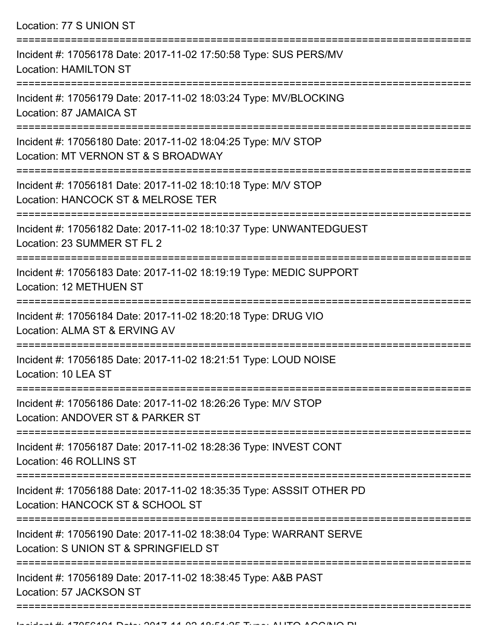Location: 77 S UNION ST

| Incident #: 17056178 Date: 2017-11-02 17:50:58 Type: SUS PERS/MV<br><b>Location: HAMILTON ST</b>            |
|-------------------------------------------------------------------------------------------------------------|
| Incident #: 17056179 Date: 2017-11-02 18:03:24 Type: MV/BLOCKING<br>Location: 87 JAMAICA ST                 |
| Incident #: 17056180 Date: 2017-11-02 18:04:25 Type: M/V STOP<br>Location: MT VERNON ST & S BROADWAY        |
| Incident #: 17056181 Date: 2017-11-02 18:10:18 Type: M/V STOP<br>Location: HANCOCK ST & MELROSE TER         |
| Incident #: 17056182 Date: 2017-11-02 18:10:37 Type: UNWANTEDGUEST<br>Location: 23 SUMMER ST FL 2           |
| Incident #: 17056183 Date: 2017-11-02 18:19:19 Type: MEDIC SUPPORT<br><b>Location: 12 METHUEN ST</b>        |
| Incident #: 17056184 Date: 2017-11-02 18:20:18 Type: DRUG VIO<br>Location: ALMA ST & ERVING AV              |
| Incident #: 17056185 Date: 2017-11-02 18:21:51 Type: LOUD NOISE<br>Location: 10 LEA ST                      |
| Incident #: 17056186 Date: 2017-11-02 18:26:26 Type: M/V STOP<br>Location: ANDOVER ST & PARKER ST           |
| Incident #: 17056187 Date: 2017-11-02 18:28:36 Type: INVEST CONT<br>Location: 46 ROLLINS ST                 |
| Incident #: 17056188 Date: 2017-11-02 18:35:35 Type: ASSSIT OTHER PD<br>Location: HANCOCK ST & SCHOOL ST    |
| Incident #: 17056190 Date: 2017-11-02 18:38:04 Type: WARRANT SERVE<br>Location: S UNION ST & SPRINGFIELD ST |
| Incident #: 17056189 Date: 2017-11-02 18:38:45 Type: A&B PAST<br>Location: 57 JACKSON ST                    |
|                                                                                                             |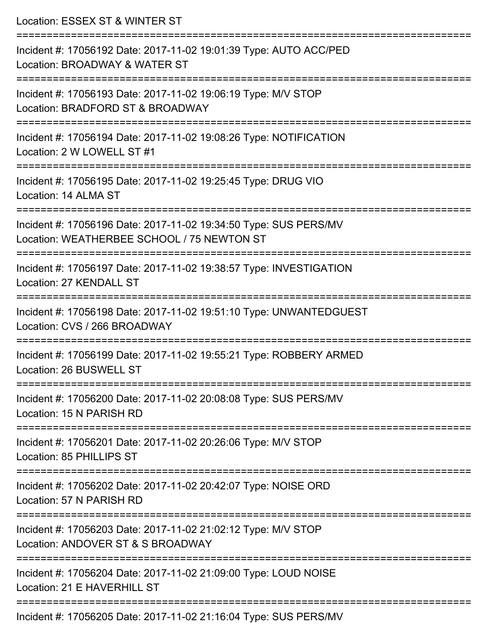| Location: ESSEX ST & WINTER ST                                                                                                           |
|------------------------------------------------------------------------------------------------------------------------------------------|
| Incident #: 17056192 Date: 2017-11-02 19:01:39 Type: AUTO ACC/PED<br>Location: BROADWAY & WATER ST<br>:================================= |
| Incident #: 17056193 Date: 2017-11-02 19:06:19 Type: M/V STOP<br>Location: BRADFORD ST & BROADWAY                                        |
| Incident #: 17056194 Date: 2017-11-02 19:08:26 Type: NOTIFICATION<br>Location: 2 W LOWELL ST #1                                          |
| Incident #: 17056195 Date: 2017-11-02 19:25:45 Type: DRUG VIO<br>Location: 14 ALMA ST                                                    |
| Incident #: 17056196 Date: 2017-11-02 19:34:50 Type: SUS PERS/MV<br>Location: WEATHERBEE SCHOOL / 75 NEWTON ST                           |
| =====================<br>Incident #: 17056197 Date: 2017-11-02 19:38:57 Type: INVESTIGATION<br>Location: 27 KENDALL ST                   |
| Incident #: 17056198 Date: 2017-11-02 19:51:10 Type: UNWANTEDGUEST<br>Location: CVS / 266 BROADWAY                                       |
| Incident #: 17056199 Date: 2017-11-02 19:55:21 Type: ROBBERY ARMED<br>Location: 26 BUSWELL ST                                            |
| :==============================<br>Incident #: 17056200 Date: 2017-11-02 20:08:08 Type: SUS PERS/MV<br>Location: 15 N PARISH RD          |
| Incident #: 17056201 Date: 2017-11-02 20:26:06 Type: M/V STOP<br>Location: 85 PHILLIPS ST                                                |
| Incident #: 17056202 Date: 2017-11-02 20:42:07 Type: NOISE ORD<br>Location: 57 N PARISH RD                                               |
| Incident #: 17056203 Date: 2017-11-02 21:02:12 Type: M/V STOP<br>Location: ANDOVER ST & S BROADWAY                                       |
| Incident #: 17056204 Date: 2017-11-02 21:09:00 Type: LOUD NOISE<br>Location: 21 E HAVERHILL ST                                           |
| Incident #: 17056205 Date: 2017-11-02 21:16:04 Type: SUS PERS/MV                                                                         |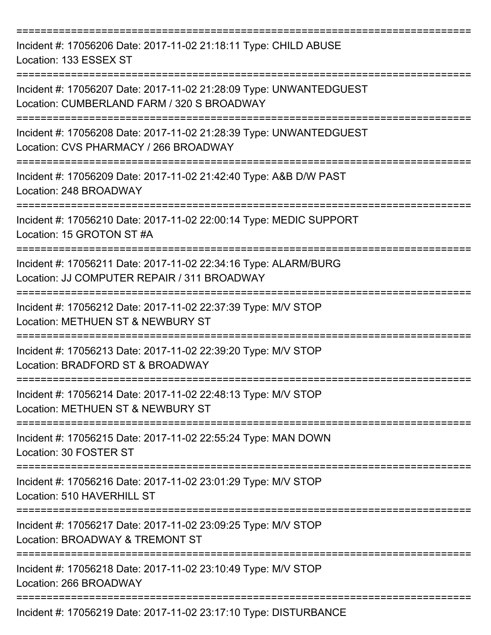| Incident #: 17056206 Date: 2017-11-02 21:18:11 Type: CHILD ABUSE<br>Location: 133 ESSEX ST                       |
|------------------------------------------------------------------------------------------------------------------|
| Incident #: 17056207 Date: 2017-11-02 21:28:09 Type: UNWANTEDGUEST<br>Location: CUMBERLAND FARM / 320 S BROADWAY |
| Incident #: 17056208 Date: 2017-11-02 21:28:39 Type: UNWANTEDGUEST<br>Location: CVS PHARMACY / 266 BROADWAY      |
| Incident #: 17056209 Date: 2017-11-02 21:42:40 Type: A&B D/W PAST<br>Location: 248 BROADWAY                      |
| Incident #: 17056210 Date: 2017-11-02 22:00:14 Type: MEDIC SUPPORT<br>Location: 15 GROTON ST #A                  |
| Incident #: 17056211 Date: 2017-11-02 22:34:16 Type: ALARM/BURG<br>Location: JJ COMPUTER REPAIR / 311 BROADWAY   |
| Incident #: 17056212 Date: 2017-11-02 22:37:39 Type: M/V STOP<br>Location: METHUEN ST & NEWBURY ST               |
| Incident #: 17056213 Date: 2017-11-02 22:39:20 Type: M/V STOP<br>Location: BRADFORD ST & BROADWAY                |
| Incident #: 17056214 Date: 2017-11-02 22:48:13 Type: M/V STOP<br>Location: METHUEN ST & NEWBURY ST               |
| Incident #: 17056215 Date: 2017-11-02 22:55:24 Type: MAN DOWN<br>Location: 30 FOSTER ST                          |
| Incident #: 17056216 Date: 2017-11-02 23:01:29 Type: M/V STOP<br>Location: 510 HAVERHILL ST                      |
| Incident #: 17056217 Date: 2017-11-02 23:09:25 Type: M/V STOP<br>Location: BROADWAY & TREMONT ST                 |
| Incident #: 17056218 Date: 2017-11-02 23:10:49 Type: M/V STOP<br>Location: 266 BROADWAY                          |
| Ingident #: 17056910 Dete: 2017 11 09 22:17:10 Tune: DICTUDDANCE                                                 |

Incident #: 17056219 Date: 2017-11-02 23:17:10 Type: DISTURBANCE